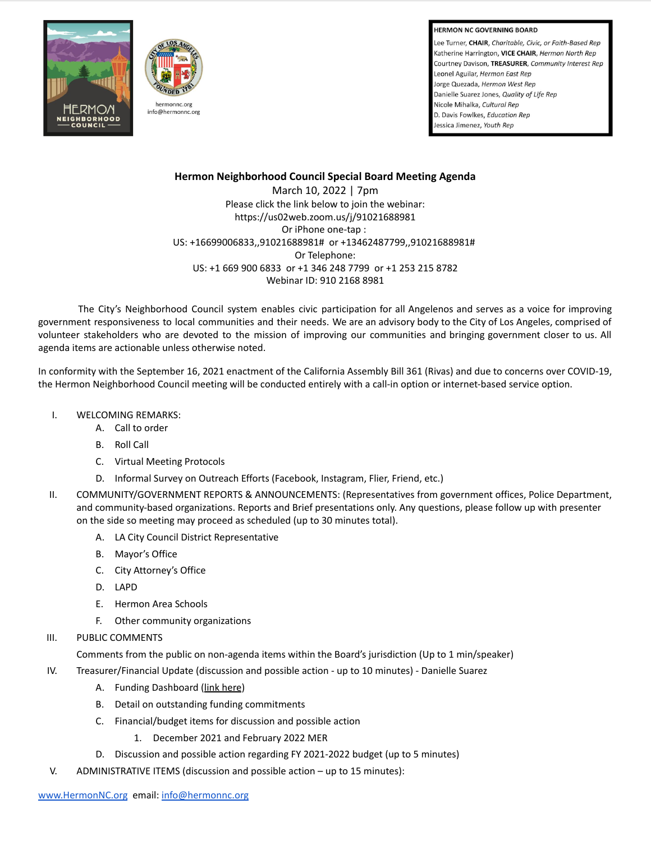**HERMON NC GOVERNING BOARD** 

Lee Turner, CHAIR, Charitable, Civic, or Faith-Based Rep Katherine Harrington, VICE CHAIR, Hermon North Rep Courtney Davison, TREASURER, Community Interest Rep Leonel Aguilar, Hermon East Rep Jorge Quezada, Hermon West Rep Danielle Suarez Jones, Quality of Life Rep Nicole Mihalka, Cultural Rep D. Davis Fowlkes, Education Rep Jessica Jimenez, Youth Rep





## **Hermon Neighborhood Council Special Board Meeting Agenda**

March 10, 2022 | 7pm Please click the link below to join the webinar: https://us02web.zoom.us/j/91021688981 Or iPhone one-tap : US: +16699006833,,91021688981# or +13462487799,,91021688981# Or Telephone: US: +1 669 900 6833 or +1 346 248 7799 or +1 253 215 8782 Webinar ID: 910 2168 8981

The City's Neighborhood Council system enables civic participation for all Angelenos and serves as a voice for improving government responsiveness to local communities and their needs. We are an advisory body to the City of Los Angeles, comprised of volunteer stakeholders who are devoted to the mission of improving our communities and bringing government closer to us. All agenda items are actionable unless otherwise noted.

In conformity with the September 16, 2021 enactment of the California Assembly Bill 361 (Rivas) and due to concerns over COVID-19, the Hermon Neighborhood Council meeting will be conducted entirely with a call-in option or internet-based service option.

- I. WELCOMING REMARKS:
	- A. Call to order
	- B. Roll Call
	- C. Virtual Meeting Protocols
	- D. Informal Survey on Outreach Efforts (Facebook, Instagram, Flier, Friend, etc.)
- II. COMMUNITY/GOVERNMENT REPORTS & ANNOUNCEMENTS: (Representatives from government offices, Police Department, and community-based organizations. Reports and Brief presentations only. Any questions, please follow up with presenter on the side so meeting may proceed as scheduled (up to 30 minutes total).
	- A. LA City Council District Representative
	- B. Mayor's Office
	- C. City Attorney's Office
	- D. LAPD
	- E. Hermon Area Schools
	- F. Other community organizations
- III. PUBLIC COMMENTS

Comments from the public on non-agenda items within the Board's jurisdiction (Up to 1 min/speaker)

- IV. Treasurer/Financial Update (discussion and possible action up to 10 minutes) Danielle Suarez
	- A. Funding Dashboard (link [here](https://cityclerk.lacity.org/NCFundPortal/Dashboard.html))
	- B. Detail on outstanding funding commitments
	- C. Financial/budget items for discussion and possible action
		- 1. December 2021 and February 2022 MER
	- D. Discussion and possible action regarding FY 2021-2022 budget (up to 5 minutes)
- V. ADMINISTRATIVE ITEMS (discussion and possible action up to 15 minutes):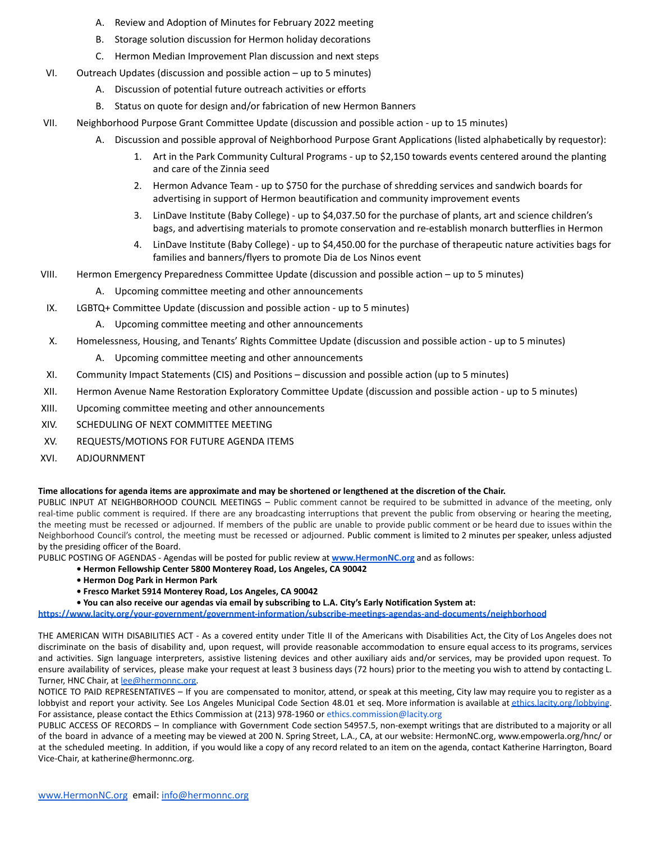- A. Review and Adoption of Minutes for February 2022 meeting
- B. Storage solution discussion for Hermon holiday decorations
- C. Hermon Median Improvement Plan discussion and next steps
- VI. Outreach Updates (discussion and possible action up to 5 minutes)
	- A. Discussion of potential future outreach activities or efforts
	- B. Status on quote for design and/or fabrication of new Hermon Banners
- VII. Neighborhood Purpose Grant Committee Update (discussion and possible action up to 15 minutes)
	- A. Discussion and possible approval of Neighborhood Purpose Grant Applications (listed alphabetically by requestor):
		- Art in the Park Community Cultural Programs up to \$2,150 towards events centered around the planting and care of the Zinnia seed
		- 2. Hermon Advance Team up to \$750 for the purchase of shredding services and sandwich boards for advertising in support of Hermon beautification and community improvement events
		- 3. LinDave Institute (Baby College) up to \$4,037.50 for the purchase of plants, art and science children's bags, and advertising materials to promote conservation and re-establish monarch butterflies in Hermon
		- 4. LinDave Institute (Baby College) up to \$4,450.00 for the purchase of therapeutic nature activities bags for families and banners/flyers to promote Dia de Los Ninos event
- VIII. Hermon Emergency Preparedness Committee Update (discussion and possible action up to 5 minutes)
	- A. Upcoming committee meeting and other announcements
- IX. LGBTQ+ Committee Update (discussion and possible action up to 5 minutes)
	- A. Upcoming committee meeting and other announcements
- X. Homelessness, Housing, and Tenants' Rights Committee Update (discussion and possible action up to 5 minutes)
	- A. Upcoming committee meeting and other announcements
- XI. Community Impact Statements (CIS) and Positions discussion and possible action (up to 5 minutes)
- XII. Hermon Avenue Name Restoration Exploratory Committee Update (discussion and possible action up to 5 minutes)
- XIII. Upcoming committee meeting and other announcements
- XIV. SCHEDULING OF NEXT COMMITTEE MEETING
- XV. REQUESTS/MOTIONS FOR FUTURE AGENDA ITEMS
- XVI. ADJOURNMENT

## **Time allocations for agenda items are approximate and may be shortened or lengthened at the discretion of the Chair.**

PUBLIC INPUT AT NEIGHBORHOOD COUNCIL MEETINGS – Public comment cannot be required to be submitted in advance of the meeting, only real-time public comment is required. If there are any broadcasting interruptions that prevent the public from observing or hearing the meeting, the meeting must be recessed or adjourned. If members of the public are unable to provide public comment or be heard due to issues within the Neighborhood Council's control, the meeting must be recessed or adjourned. Public comment is limited to 2 minutes per speaker, unless adjusted by the presiding officer of the Board.

PUBLIC POSTING OF AGENDAS - Agendas will be posted for public review at **[www.HermonNC.org](http://www.hermonnc.org)** and as follows:

- **Hermon Fellowship Center 5800 Monterey Road, Los Angeles, CA 90042**
- **Hermon Dog Park in Hermon Park**
- **Fresco Market 5914 Monterey Road, Los Angeles, CA 90042**
- **You can also receive our agendas via email by subscribing to L.A. City's Early Notification System at:**

**<https://www.lacity.org/your-government/government-information/subscribe-meetings-agendas-and-documents/neighborhood>**

THE AMERICAN WITH DISABILITIES ACT - As a covered entity under Title II of the Americans with Disabilities Act, the City of Los Angeles does not discriminate on the basis of disability and, upon request, will provide reasonable accommodation to ensure equal access to its programs, services and activities. Sign language interpreters, assistive listening devices and other auxiliary aids and/or services, may be provided upon request. To ensure availability of services, please make your request at least 3 business days (72 hours) prior to the meeting you wish to attend by contacting L. Turner, HNC Chair, at [lee@hermonnc.org](mailto:lee@hermonnc.org).

NOTICE TO PAID REPRESENTATIVES – If you are compensated to monitor, attend, or speak at this meeting, City law may require you to register as a lobbyist and report your activity. See Los Angeles Municipal Code Section 48.01 et seq. More information is available at [ethics.lacity.org/lobbying](http://ethics.lacity.org/lobbying). For assistance, please contact the Ethics Commission at (213) 978-1960 or ethics.commission@lacity.org

PUBLIC ACCESS OF RECORDS – In compliance with Government Code section 54957.5, non-exempt writings that are distributed to a majority or all of the board in advance of a meeting may be viewed at 200 N. Spring Street, L.A., CA, at our website: HermonNC.org, www.empowerla.org/hnc/ or at the scheduled meeting. In addition, if you would like a copy of any record related to an item on the agenda, contact Katherine Harrington, Board Vice-Chair, at katherine@hermonnc.org.